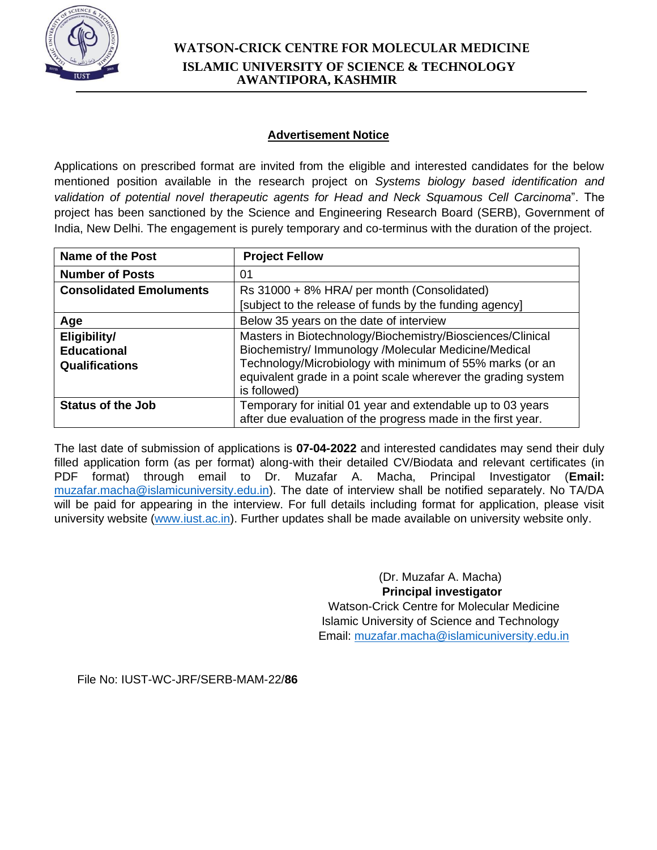

### **Advertisement Notice**

Applications on prescribed format are invited from the eligible and interested candidates for the below mentioned position available in the research project on *Systems biology based identification and validation of potential novel therapeutic agents for Head and Neck Squamous Cell Carcinoma*". The project has been sanctioned by the Science and Engineering Research Board (SERB), Government of India, New Delhi. The engagement is purely temporary and co-terminus with the duration of the project.

| Name of the Post                                            | <b>Project Fellow</b>                                                                                                                                                                                                                                           |  |
|-------------------------------------------------------------|-----------------------------------------------------------------------------------------------------------------------------------------------------------------------------------------------------------------------------------------------------------------|--|
| <b>Number of Posts</b>                                      | 01                                                                                                                                                                                                                                                              |  |
| <b>Consolidated Emoluments</b>                              | Rs 31000 + 8% HRA/ per month (Consolidated)                                                                                                                                                                                                                     |  |
|                                                             | [subject to the release of funds by the funding agency]                                                                                                                                                                                                         |  |
| Age                                                         | Below 35 years on the date of interview                                                                                                                                                                                                                         |  |
| Eligibility/<br><b>Educational</b><br><b>Qualifications</b> | Masters in Biotechnology/Biochemistry/Biosciences/Clinical<br>Biochemistry/ Immunology /Molecular Medicine/Medical<br>Technology/Microbiology with minimum of 55% marks (or an<br>equivalent grade in a point scale wherever the grading system<br>is followed) |  |
| <b>Status of the Job</b>                                    | Temporary for initial 01 year and extendable up to 03 years<br>after due evaluation of the progress made in the first year.                                                                                                                                     |  |

The last date of submission of applications is **07-04-2022** and interested candidates may send their duly filled application form (as per format) along-with their detailed CV/Biodata and relevant certificates (in PDF format) through email to Dr. Muzafar A. Macha, Principal Investigator (**Email:**  muzafar.macha@islamicuniversity.edu.in). The date of interview shall be notified separately. No TA/DA will be paid for appearing in the interview. For full details including format for application, please visit university website [\(](http://www.islamicuniversity.edu.in/)[www.iust.ac.in\)](http://www.iust.ac.in/). Further updates shall be made available on university website only.

> (Dr. Muzafar A. Macha)  **Principal investigator** Watson-Crick Centre for Molecular Medicine Islamic University of Science and Technology Email: [muzafar.macha@islamicuniversity.edu.in](mailto:muzafar.macha@islamicuniversity.edu.in)

File No: IUST-WC-JRF/SERB-MAM-22/**86**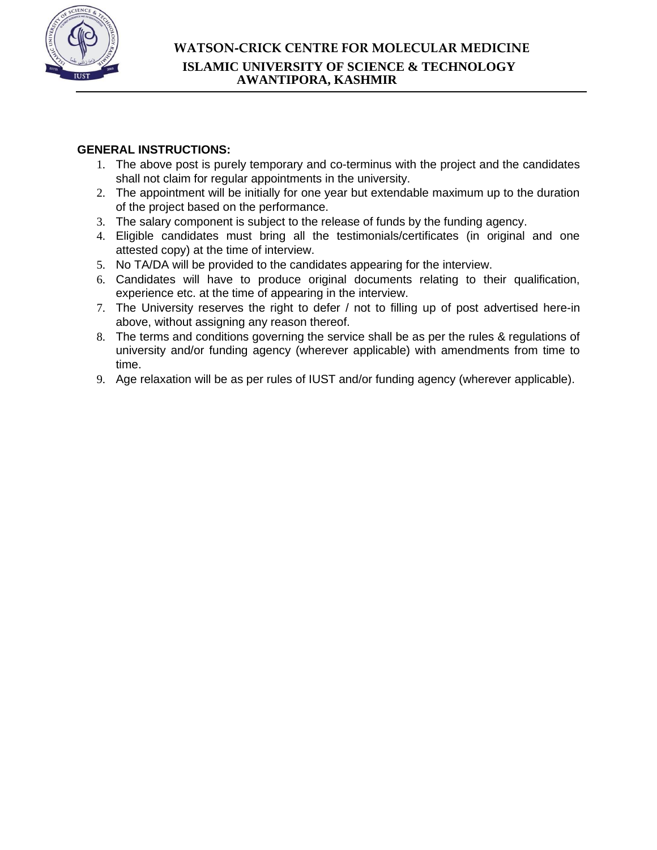

### **GENERAL INSTRUCTIONS:**

- 1. The above post is purely temporary and co-terminus with the project and the candidates shall not claim for regular appointments in the university.
- 2. The appointment will be initially for one year but extendable maximum up to the duration of the project based on the performance.
- 3. The salary component is subject to the release of funds by the funding agency.
- 4. Eligible candidates must bring all the testimonials/certificates (in original and one attested copy) at the time of interview.
- 5. No TA/DA will be provided to the candidates appearing for the interview.
- 6. Candidates will have to produce original documents relating to their qualification, experience etc. at the time of appearing in the interview.
- 7. The University reserves the right to defer / not to filling up of post advertised here-in above, without assigning any reason thereof.
- 8. The terms and conditions governing the service shall be as per the rules & regulations of university and/or funding agency (wherever applicable) with amendments from time to time.
- 9. Age relaxation will be as per rules of IUST and/or funding agency (wherever applicable).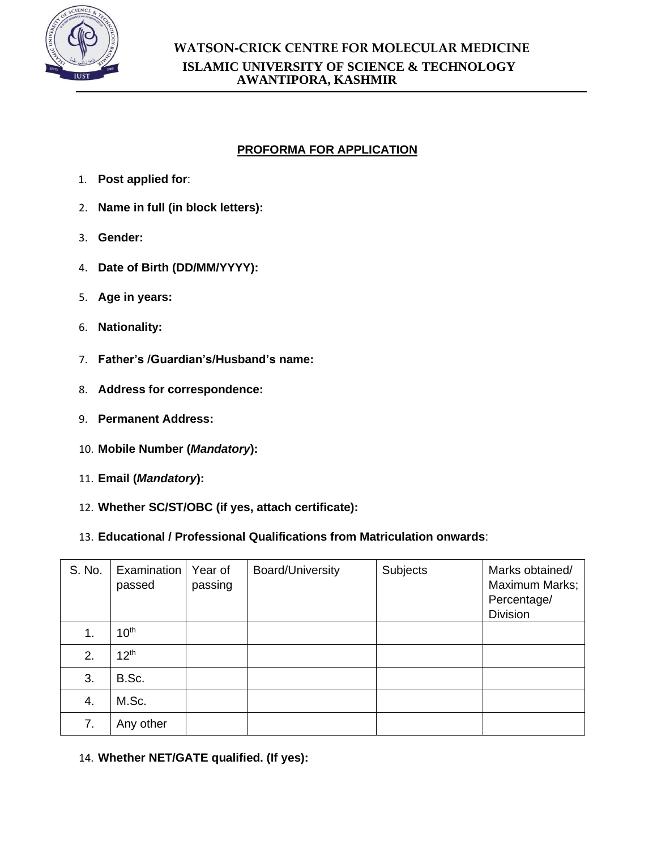

# **PROFORMA FOR APPLICATION**

- 1. **Post applied for**:
- 2. **Name in full (in block letters):**
- 3. **Gender:**
- 4. **Date of Birth (DD/MM/YYYY):**
- 5. **Age in years:**
- 6. **Nationality:**
- 7. **Father's /Guardian's/Husband's name:**
- 8. **Address for correspondence:**
- 9. **Permanent Address:**
- 10. **Mobile Number (***Mandatory***):**
- 11. **Email (***Mandatory***):**
- 12. **Whether SC/ST/OBC (if yes, attach certificate):**
- 13. **Educational / Professional Qualifications from Matriculation onwards**:

| S. No. | Examination<br>passed | Year of<br>passing | <b>Board/University</b> | Subjects | Marks obtained/<br>Maximum Marks;<br>Percentage/<br><b>Division</b> |
|--------|-----------------------|--------------------|-------------------------|----------|---------------------------------------------------------------------|
| 1.     | 10 <sup>th</sup>      |                    |                         |          |                                                                     |
| 2.     | 12 <sup>th</sup>      |                    |                         |          |                                                                     |
| 3.     | B.Sc.                 |                    |                         |          |                                                                     |
| 4.     | M.Sc.                 |                    |                         |          |                                                                     |
| 7.     | Any other             |                    |                         |          |                                                                     |

14. **Whether NET/GATE qualified. (If yes):**